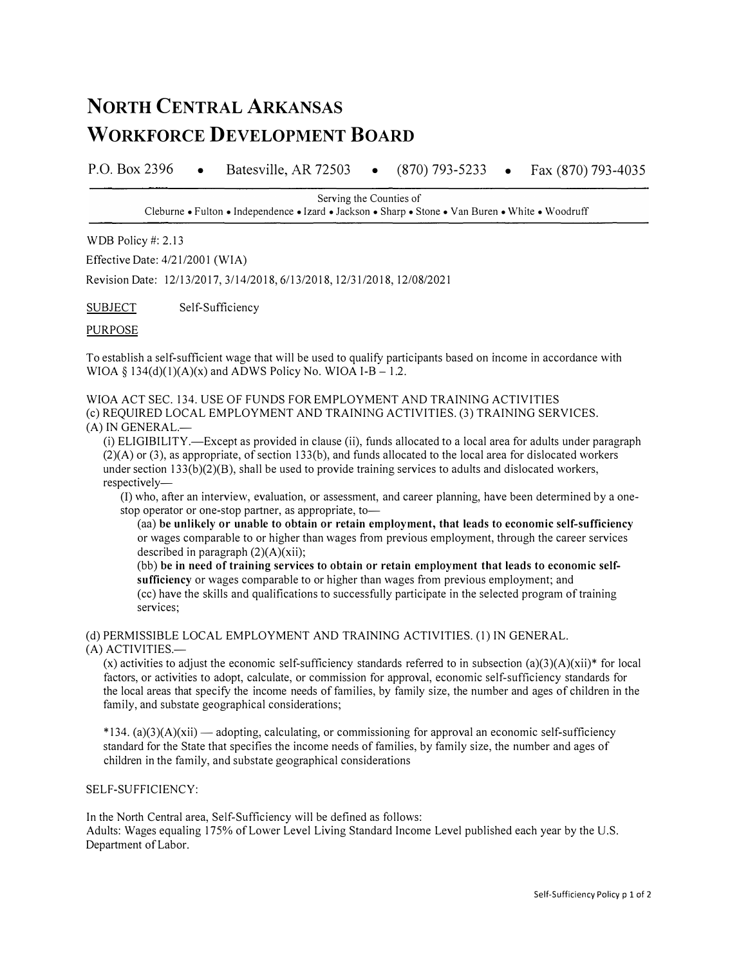## **NORTH CENTRAL ARKANSAS WORKFORCE DEVELOPMENT BOARD**

P.O. Box 2396 • Batesville, AR 72503 • • Fax (870) 793-4035

> Serving the Counties of Cleburne• Fulton• Independence• Izard• Jackson• Sharp• Stone• Van Buren• White• Woodruff

WDB Policy #: 2.13

Effective Date: 4/21/2001 (WIA)

Revision Date: 12/13/2017, 3/14/2018, 6/13/2018, 12/31/2018, 12/08/2021

**SUBJECT** Self-Sufficiency

## PURPOSE

To establish a self-sufficient wage that will be used to qualify participants based on income in accordance with WIOA  $\S$  134(d)(1)(A)(x) and ADWS Policy No. WIOA I-B – 1.2.

## WIOA ACT SEC. 134. USE OF FUNDS FOR EMPLOYMENT AND TRAINING ACTIVITIES (c) REQUIRED LOCAL EMPLOYMENT AND TRAINING ACTIVITIES. (3) TRAINING SERVICES.

## $(A)$  IN GENERAL. $-$

(i) ELIGIBILITY.-Except as provided in clause (ii), funds allocated to a local area for adults under paragraph  $(2)(A)$  or (3), as appropriate, of section 133(b), and funds allocated to the local area for dislocated workers under section  $133(b)(2)(B)$ , shall be used to provide training services to adults and dislocated workers, respectively-

(!) who, after an interview, evaluation, or assessment, and career planning, have been determined by a onestop operator or one-stop partner, as appropriate, to-

( aa) **be unlikely or unable to obtain or retain employment, that leads to economic self-sufficiency**  or wages comparable to or higher than wages from previous employment, through the career services described in paragraph  $(2)(A)(xii)$ ;

(bb) **be in need of training services to obtain or retain employment that leads to economic selfsufficiency** or wages comparable to or higher than wages from previous employment; and

(cc) have the skills and qualifications to successfully participate in the selected program of training services;

(d) PERMISSIBLE LOCAL EMPLOYMENT AND TRAINING ACTIVITIES. (1) IN GENERAL.

(A) ACTIVITIES.-

(x) activities to adjust the economic self-sufficiency standards referred to in subsection  $(a)(3)(A)(xii)*$  for local factors, or activities to adopt, calculate, or commission for approval, economic self-sufficiency standards for the local areas that specify the income needs of families, by family size, the number and ages of children in the family, and substate geographical considerations;

 $*134$ . (a)(3)(A)(xii) — adopting, calculating, or commissioning for approval an economic self-sufficiency standard for the State that specifies the income needs of families, by family size, the number and ages of children in the family, and substate geographical considerations

SELF-SUFFICIENCY:

In the North Central area, Self-Sufficiency will be defined as follows:

Adults: Wages equaling 175% of Lower Level Living Standard Income Level published each year by the U.S. Department of Labor.